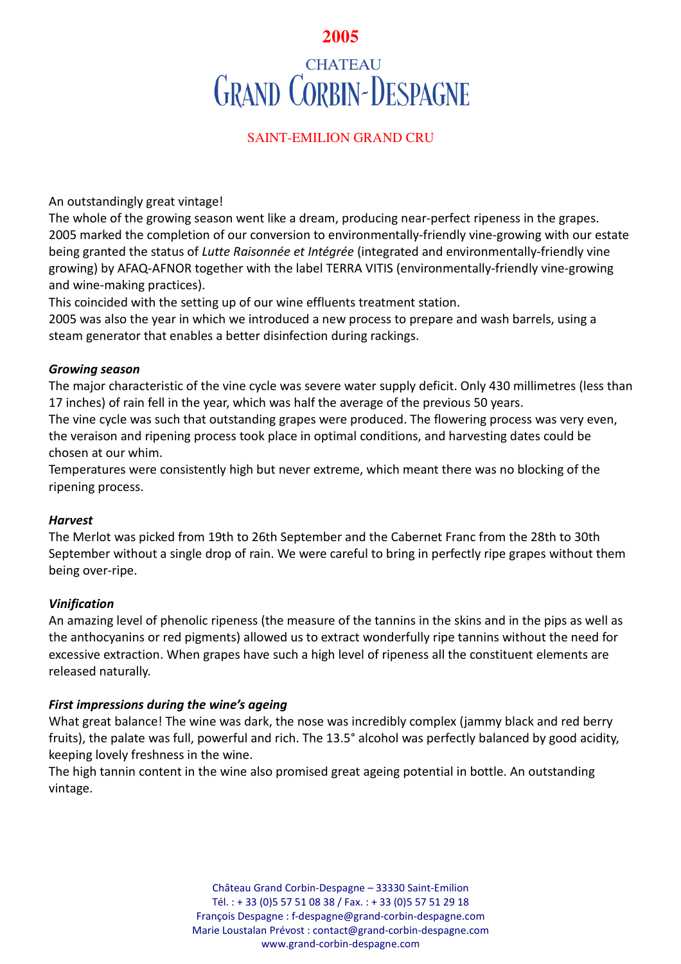# **2005**

# **CHATEAU GRAND CORBIN-DESPAGNE**

# SAINT-EMILION GRAND CRU

An outstandingly great vintage!

The whole of the growing season went like a dream, producing near-perfect ripeness in the grapes. 2005 marked the completion of our conversion to environmentally-friendly vine-growing with our estate being granted the status of *Lutte Raisonnée et Intégrée* (integrated and environmentally-friendly vine growing) by AFAQ-AFNOR together with the label TERRA VITIS (environmentally-friendly vine-growing and wine-making practices).

This coincided with the setting up of our wine effluents treatment station.

2005 was also the year in which we introduced a new process to prepare and wash barrels, using a steam generator that enables a better disinfection during rackings.

## *Growing season*

The major characteristic of the vine cycle was severe water supply deficit. Only 430 millimetres (less than 17 inches) of rain fell in the year, which was half the average of the previous 50 years.

The vine cycle was such that outstanding grapes were produced. The flowering process was very even, the veraison and ripening process took place in optimal conditions, and harvesting dates could be chosen at our whim.

Temperatures were consistently high but never extreme, which meant there was no blocking of the ripening process.

## *Harvest*

The Merlot was picked from 19th to 26th September and the Cabernet Franc from the 28th to 30th September without a single drop of rain. We were careful to bring in perfectly ripe grapes without them being over-ripe.

# *Vinification*

An amazing level of phenolic ripeness (the measure of the tannins in the skins and in the pips as well as the anthocyanins or red pigments) allowed us to extract wonderfully ripe tannins without the need for excessive extraction. When grapes have such a high level of ripeness all the constituent elements are released naturally.

## *First impressions during the wine's ageing*

What great balance! The wine was dark, the nose was incredibly complex (jammy black and red berry fruits), the palate was full, powerful and rich. The 13.5° alcohol was perfectly balanced by good acidity, keeping lovely freshness in the wine.

The high tannin content in the wine also promised great ageing potential in bottle. An outstanding vintage.

> Château Grand Corbin-Despagne – 33330 Saint-Emilion Tél. : + 33 (0)5 57 51 08 38 / Fax. : + 33 (0)5 57 51 29 18 François Despagne : f-despagne@grand-corbin-despagne.com Marie Loustalan Prévost : contact@grand-corbin-despagne.com www.grand-corbin-despagne.com